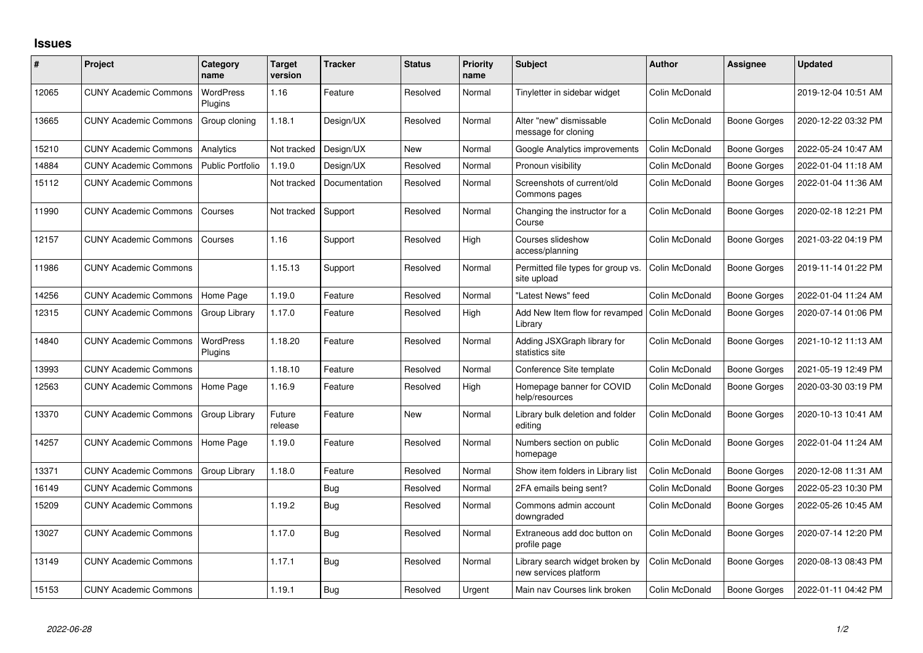## **Issues**

| #     | Project                      | Category<br>name            | <b>Target</b><br>version | <b>Tracker</b> | <b>Status</b> | <b>Priority</b><br>name | <b>Subject</b>                                           | <b>Author</b>  | Assignee            | <b>Updated</b>      |
|-------|------------------------------|-----------------------------|--------------------------|----------------|---------------|-------------------------|----------------------------------------------------------|----------------|---------------------|---------------------|
| 12065 | <b>CUNY Academic Commons</b> | WordPress<br>Plugins        | 1.16                     | Feature        | Resolved      | Normal                  | Tinyletter in sidebar widget                             | Colin McDonald |                     | 2019-12-04 10:51 AM |
| 13665 | <b>CUNY Academic Commons</b> | Group cloning               | 1.18.1                   | Design/UX      | Resolved      | Normal                  | Alter "new" dismissable<br>message for cloning           | Colin McDonald | <b>Boone Gorges</b> | 2020-12-22 03:32 PM |
| 15210 | <b>CUNY Academic Commons</b> | Analytics                   | Not tracked              | Design/UX      | <b>New</b>    | Normal                  | Google Analytics improvements                            | Colin McDonald | <b>Boone Gorges</b> | 2022-05-24 10:47 AM |
| 14884 | <b>CUNY Academic Commons</b> | <b>Public Portfolio</b>     | 1.19.0                   | Design/UX      | Resolved      | Normal                  | Pronoun visibility                                       | Colin McDonald | Boone Gorges        | 2022-01-04 11:18 AM |
| 15112 | <b>CUNY Academic Commons</b> |                             | Not tracked              | Documentation  | Resolved      | Normal                  | Screenshots of current/old<br>Commons pages              | Colin McDonald | Boone Gorges        | 2022-01-04 11:36 AM |
| 11990 | <b>CUNY Academic Commons</b> | Courses                     | Not tracked              | Support        | Resolved      | Normal                  | Changing the instructor for a<br>Course                  | Colin McDonald | <b>Boone Gorges</b> | 2020-02-18 12:21 PM |
| 12157 | <b>CUNY Academic Commons</b> | Courses                     | 1.16                     | Support        | Resolved      | High                    | Courses slideshow<br>access/planning                     | Colin McDonald | <b>Boone Gorges</b> | 2021-03-22 04:19 PM |
| 11986 | <b>CUNY Academic Commons</b> |                             | 1.15.13                  | Support        | Resolved      | Normal                  | Permitted file types for group vs.<br>site upload        | Colin McDonald | <b>Boone Gorges</b> | 2019-11-14 01:22 PM |
| 14256 | <b>CUNY Academic Commons</b> | Home Page                   | 1.19.0                   | Feature        | Resolved      | Normal                  | "Latest News" feed                                       | Colin McDonald | <b>Boone Gorges</b> | 2022-01-04 11:24 AM |
| 12315 | <b>CUNY Academic Commons</b> | Group Library               | 1.17.0                   | Feature        | Resolved      | High                    | Add New Item flow for revamped<br>Library                | Colin McDonald | <b>Boone Gorges</b> | 2020-07-14 01:06 PM |
| 14840 | <b>CUNY Academic Commons</b> | <b>WordPress</b><br>Plugins | 1.18.20                  | Feature        | Resolved      | Normal                  | Adding JSXGraph library for<br>statistics site           | Colin McDonald | Boone Gorges        | 2021-10-12 11:13 AM |
| 13993 | <b>CUNY Academic Commons</b> |                             | 1.18.10                  | Feature        | Resolved      | Normal                  | Conference Site template                                 | Colin McDonald | <b>Boone Gorges</b> | 2021-05-19 12:49 PM |
| 12563 | <b>CUNY Academic Commons</b> | Home Page                   | 1.16.9                   | Feature        | Resolved      | High                    | Homepage banner for COVID<br>help/resources              | Colin McDonald | <b>Boone Gorges</b> | 2020-03-30 03:19 PM |
| 13370 | <b>CUNY Academic Commons</b> | Group Library               | Future<br>release        | Feature        | <b>New</b>    | Normal                  | Library bulk deletion and folder<br>editing              | Colin McDonald | Boone Gorges        | 2020-10-13 10:41 AM |
| 14257 | <b>CUNY Academic Commons</b> | Home Page                   | 1.19.0                   | Feature        | Resolved      | Normal                  | Numbers section on public<br>homepage                    | Colin McDonald | Boone Gorges        | 2022-01-04 11:24 AM |
| 13371 | <b>CUNY Academic Commons</b> | Group Library               | 1.18.0                   | Feature        | Resolved      | Normal                  | Show item folders in Library list                        | Colin McDonald | <b>Boone Gorges</b> | 2020-12-08 11:31 AM |
| 16149 | <b>CUNY Academic Commons</b> |                             |                          | Bug            | Resolved      | Normal                  | 2FA emails being sent?                                   | Colin McDonald | <b>Boone Gorges</b> | 2022-05-23 10:30 PM |
| 15209 | <b>CUNY Academic Commons</b> |                             | 1.19.2                   | <b>Bug</b>     | Resolved      | Normal                  | Commons admin account<br>downgraded                      | Colin McDonald | <b>Boone Gorges</b> | 2022-05-26 10:45 AM |
| 13027 | <b>CUNY Academic Commons</b> |                             | 1.17.0                   | Bug            | Resolved      | Normal                  | Extraneous add doc button on<br>profile page             | Colin McDonald | Boone Gorges        | 2020-07-14 12:20 PM |
| 13149 | <b>CUNY Academic Commons</b> |                             | 1.17.1                   | <b>Bug</b>     | Resolved      | Normal                  | Library search widget broken by<br>new services platform | Colin McDonald | <b>Boone Gorges</b> | 2020-08-13 08:43 PM |
| 15153 | <b>CUNY Academic Commons</b> |                             | 1.19.1                   | Bug            | Resolved      | Urgent                  | Main nav Courses link broken                             | Colin McDonald | Boone Gorges        | 2022-01-11 04:42 PM |